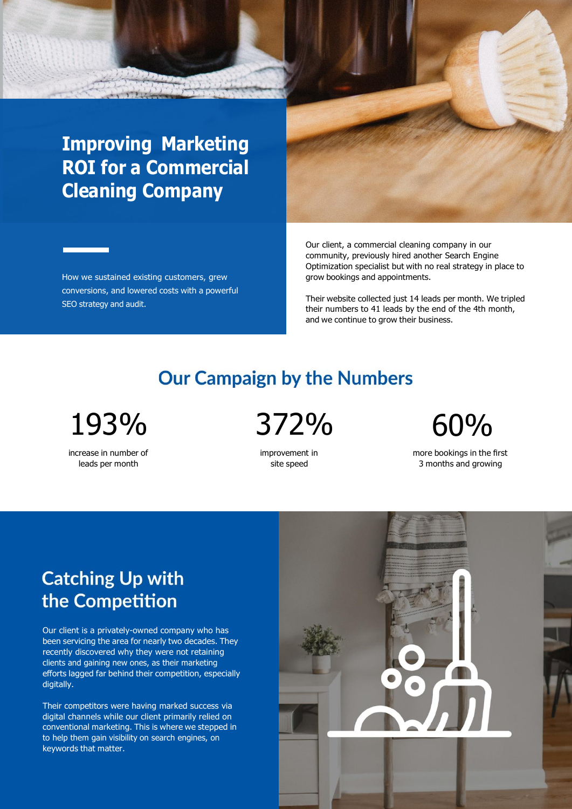## **Improving Marketing ROI for a Commercial Cleaning Company**

How we sustained existing customers, grew conversions, and lowered costs with a powerful SEO strategy and audit.

Our client, a commercial cleaning company in our community, previously hired another Search Engine Optimization specialist but with no real strategy in place to grow bookings and appointments.

Their website collected just 14 leads per month. We tripled their numbers to 41 leads by the end of the 4th month, and we continue to grow their business.

#### **Our Campaign by the Numbers**

193% 372% 60%

increase in number of leads per month

improvement in site speed

more bookings in the first 3 months and growing

#### **Catching Up with** the Competition

Our client is a privately-owned company who has been servicing the area for nearly two decades. They recently discovered why they were not retaining clients and gaining new ones, as their marketing efforts lagged far behind their competition, especially digitally.

Their competitors were having marked success via digital channels while our client primarily relied on conventional marketing. This is where we stepped in to help them gain visibility on search engines, on keywords that matter.

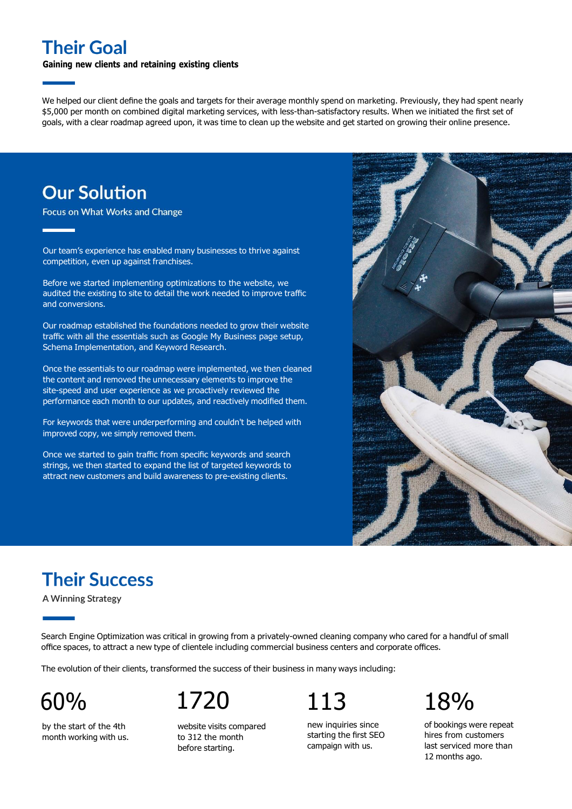#### **Their Goal**

#### **Gaining new clients and retaining existing clients**

We helped our client define the goals and targets for their average monthly spend on marketing. Previously, they had spent nearly \$5,000 per month on combined digital marketing services, with less-than-satisfactory results. When we initiated the first set of goals, with a clear roadmap agreed upon, it was time to clean up the website and get started on growing their online presence.

#### **Our Solution**

Focus on What Works and Change

Our team's experience has enabled many businesses to thrive against competition, even up against franchises.

Before we started implementing optimizations to the website, we audited the existing to site to detail the work needed to improve traffic and conversions.

Our roadmap established the foundations needed to grow their website traffic with all the essentials such as Google My Business page setup, Schema Implementation, and Keyword Research.

Once the essentials to our roadmap were implemented, we then cleaned the content and removed the unnecessary elements to improve the site-speed and user experience as we proactively reviewed the performance each month to our updates, and reactively modified them.

For keywords that were underperforming and couldn't be helped with improved copy, we simply removed them.

Once we started to gain traffic from specific keywords and search strings, we then started to expand the list of targeted keywords to attract new customers and build awareness to pre-existing clients.



### **Their Success**

A Winning Strategy

Search Engine Optimization was critical in growing from a privately-owned cleaning company who cared for a handful of small office spaces, to attract a new type of clientele including commercial business centers and corporate offices.

The evolution of their clients, transformed the success of their business in many ways including:

by the start of the 4th month working with us.

# 60% 1720 113 18%

website visits compared to 312 the month before starting.

new inquiries since starting the first SEO campaign with us.

of bookings were repeat hires from customers last serviced more than 12 months ago.